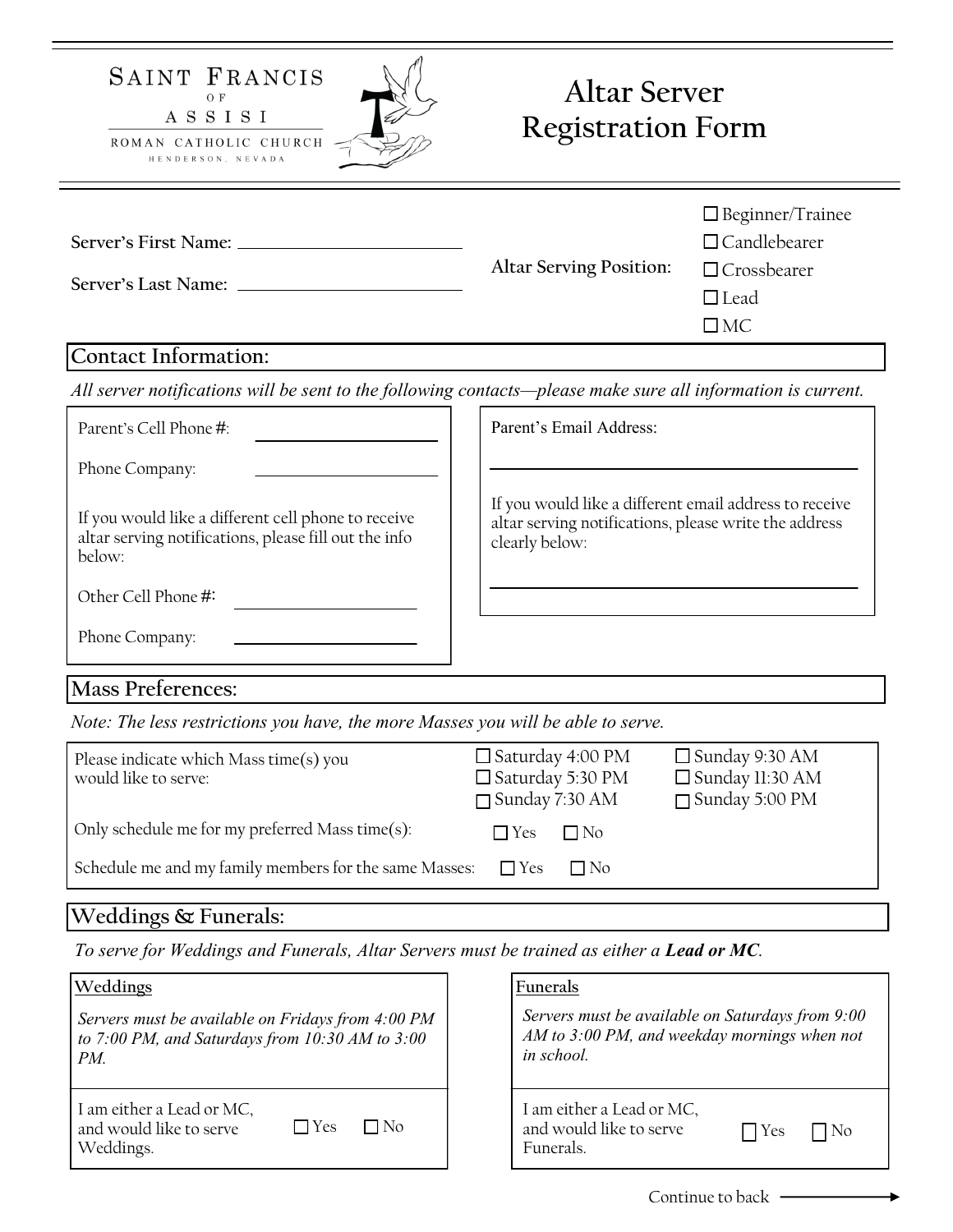

# **Altar Server Registration Form**

|  |                                | $\Box$ Beginner/Trainee |
|--|--------------------------------|-------------------------|
|  |                                | $\Box$ Candlebearer     |
|  | <b>Altar Serving Position:</b> | $\Box$ Crossbearer      |
|  |                                | □ Lead                  |
|  |                                | $\Box$ MC.              |

### **Contact Information:**

*All server notifications will be sent to the following contacts—please make sure all information is current.*

| Parent's Cell Phone #                                                                                                  | Parent's Email Address:                                                                                                           |
|------------------------------------------------------------------------------------------------------------------------|-----------------------------------------------------------------------------------------------------------------------------------|
| Phone Company:                                                                                                         |                                                                                                                                   |
| If you would like a different cell phone to receive<br>altar serving notifications, please fill out the info<br>below: | If you would like a different email address to receive<br>altar serving notifications, please write the address<br>clearly below: |
| Other Cell Phone #:                                                                                                    |                                                                                                                                   |
| Phone Company:                                                                                                         |                                                                                                                                   |

#### **Mass Preferences:**

*Note: The less restrictions you have, the more Masses you will be able to serve.*

| Please indicate which Mass time(s) you<br>would like to serve: | $\Box$ Saturday 4:00 PM<br>□ Saturday 5:30 PM<br>$\Box$ Sunday 7:30 AM | $\Box$ Sunday 9:30 AM<br>$\Box$ Sunday 11:30 AM<br>$\Box$ Sunday 5:00 PM |
|----------------------------------------------------------------|------------------------------------------------------------------------|--------------------------------------------------------------------------|
| Only schedule me for my preferred Mass time(s):                | $\Box$ Yes<br>$\Box$ No                                                |                                                                          |
| Schedule me and my family members for the same Masses:         | $\Gamma$ Yes<br>l No                                                   |                                                                          |

## **Weddings & Funerals:**

*To serve for Weddings and Funerals, Altar Servers must be trained as either a Lead or MC*.

| Weddings                                            | Funerals                                         |
|-----------------------------------------------------|--------------------------------------------------|
| Servers must be available on Fridays from 4:00 PM   | Servers must be available on Saturdays from 9:00 |
| to 7:00 PM, and Saturdays from $10:30$ AM to $3:00$ | AM to 3:00 PM, and weekday mornings when not     |
| $PM$ .                                              | <i>in school.</i>                                |
| I am either a Lead or MC,                           | I am either a Lead or MC,                        |
| $\Box$ No                                           | and would like to serve                          |
| $\Box$ Yes                                          | Yes                                              |
| and would like to serve                             | 7 No                                             |
| Weddings.                                           | Funerals.                                        |

Continue to back